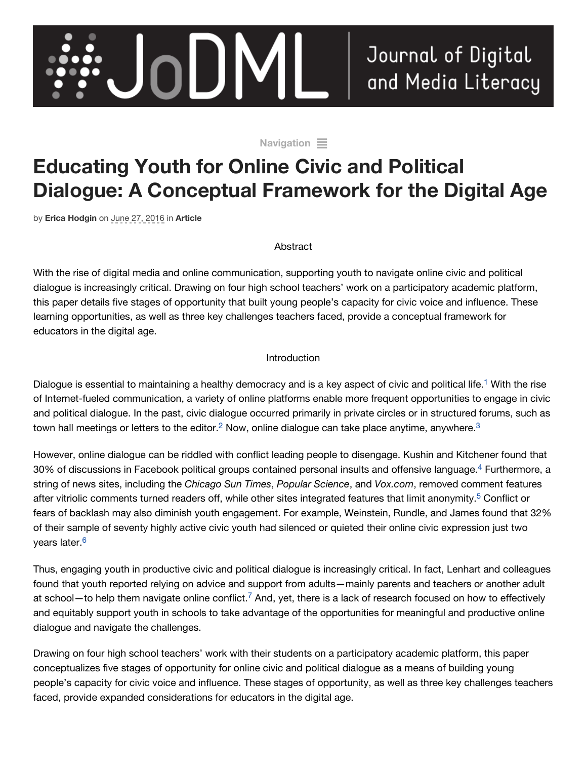

Journal of Digital and Media Literacy

[Navigation](http://www.jodml.org/2016/06/27/educating-youth-for-online-civic-and-political-dialogue-a-conceptual-framework-for-the-digital-age/#navigation)  $\equiv$ 

# **Educating Youth for Online Civic and Political Dialogue: A Conceptual Framework for the Digital Age**

by **[Erica Hodgin](http://www.jodml.org/author/ericahodgin/)** on June 27, 2016 in **[Article](http://www.jodml.org/category/article/)**

#### Abstract

With the rise of digital media and online communication, supporting youth to navigate online civic and political dialogue is increasingly critical. Drawing on four high school teachers' work on a participatory academic platform, this paper details five stages of opportunity that built young people's capacity for civic voice and influence. These learning opportunities, as well as three key challenges teachers faced, provide a conceptual framework for educators in the digital age.

#### Introduction

Dialogue is essential to maintaining a healthy democracy and is a key aspect of civic and political life.<sup>1</sup> With the rise of Internet-fueled communication, a variety of online platforms enable more frequent opportunities to engage in civic and political dialogue. In the past, civic dialogue occurred primarily in private circles or in structured forums, such as town hall meetings or letters to the editor.<sup>2</sup> Now, online dialogue can take place anytime, anywhere.<sup>[3](http://www.jodml.org/2016/06/27/educating-youth-for-online-civic-and-political-dialogue-a-conceptual-framework-for-the-digital-age/#footnote-3)</sup>

However, online dialogue can be riddled with conflict leading people to disengage. Kushin and Kitchener found that 30% of discussions in Facebook political groups contained personal insults and offensive language.<sup>4</sup> Furthermore, a string of news sites, including the *Chicago Sun Times*, *Popular Science*, and *Vox.com*, removed comment features after vitriolic comments turned readers off, while other sites integrated features that limit anonymity.<sup>5</sup> Conflict or fears of backlash may also diminish youth engagement. For example, Weinstein, Rundle, and James found that 32% of their sample of seventy highly active civic youth had silenced or quieted their online civic expression just two years later.<sup>[6](http://www.jodml.org/2016/06/27/educating-youth-for-online-civic-and-political-dialogue-a-conceptual-framework-for-the-digital-age/#footnote-6)</sup>

Thus, engaging youth in productive civic and political dialogue is increasingly critical. In fact, Lenhart and colleagues found that youth reported relying on advice and support from adults—mainly parents and teachers or another adult at school—to help them navigate online conflict.<sup>7</sup> And, yet, there is a lack of research focused on how to effectively and equitably support youth in schools to take advantage of the opportunities for meaningful and productive online dialogue and navigate the challenges.

Drawing on four high school teachers' work with their students on a participatory academic platform, this paper conceptualizes five stages of opportunity for online civic and political dialogue as a means of building young people's capacity for civic voice and influence. These stages of opportunity, as well as three key challenges teachers faced, provide expanded considerations for educators in the digital age.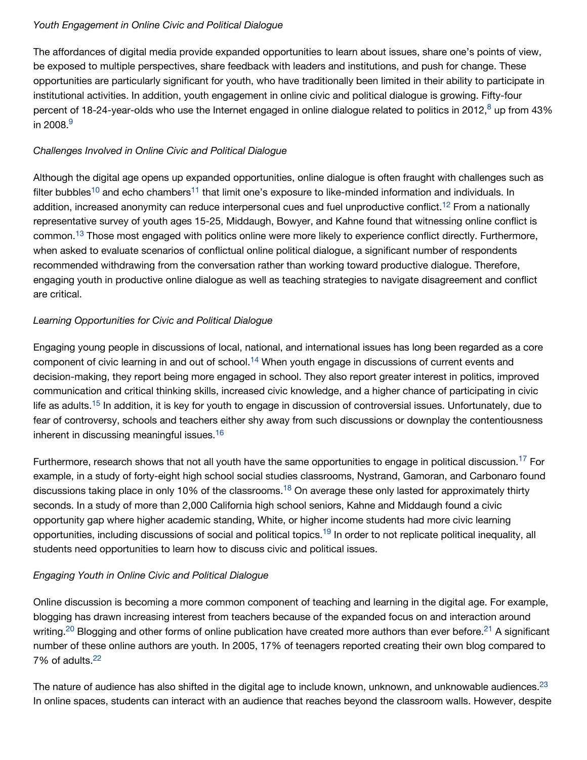### *Youth Engagement in Online Civic and Political Dialogue*

The affordances of digital media provide expanded opportunities to learn about issues, share one's points of view, be exposed to multiple perspectives, share feedback with leaders and institutions, and push for change. These opportunities are particularly significant for youth, who have traditionally been limited in their ability to participate in institutional activities. In addition, youth engagement in online civic and political dialogue is growing. Fifty-four percent of 18-24-year-olds who use the Internet engaged in online dialogue related to politics in 2012,<sup>8</sup> up from 43% in 2008.<sup>[9](http://www.jodml.org/2016/06/27/educating-youth-for-online-civic-and-political-dialogue-a-conceptual-framework-for-the-digital-age/#footnote-9)</sup>

## *Challenges Involved in Online Civic and Political Dialogue*

Although the digital age opens up expanded opportunities, online dialogue is often fraught with challenges such as filter bubbles<sup>10</sup> and echo chambers<sup>11</sup> that limit one'[s](http://www.jodml.org/2016/06/27/educating-youth-for-online-civic-and-political-dialogue-a-conceptual-framework-for-the-digital-age/#footnote-10) expo[s](http://www.jodml.org/2016/06/27/educating-youth-for-online-civic-and-political-dialogue-a-conceptual-framework-for-the-digital-age/#footnote-11)ure to like-minded information and individuals. In addition, increased anonymity can reduce interpersonal cues and fuel unproductive conflict.<sup>12</sup> From a nationally representative survey of youth ages 15-25, Middaugh, Bowyer, and Kahne found that witnessing online conflict is common.<sup>13</sup> Those most engaged with politics online were more likely to experience conflict directly[.](http://www.jodml.org/2016/06/27/educating-youth-for-online-civic-and-political-dialogue-a-conceptual-framework-for-the-digital-age/#footnote-13) Furthermore, when asked to evaluate scenarios of conflictual online political dialogue, a significant number of respondents recommended withdrawing from the conversation rather than working toward productive dialogue. Therefore, engaging youth in productive online dialogue as well as teaching strategies to navigate disagreement and conflict are critical.

## *Learning Opportunities for Civic and Political Dialogue*

Engaging young people in discussions of local, national, and international issues has long been regarded as a core component of civic learning in and out of school.<sup>14</sup> When youth engage in discussions of current events and decision-making, they report being more engaged in school. They also report greater interest in politics, improved communication and critical thinking skills, increased civic knowledge, and a higher chance of participating in civic lifeas adults.<sup>15</sup> In addition, it is key for youth to engage in discussion of controversial issues. Unfortunately, due to fear of controversy, schools and teachers either shy away from such discussions or downplay the contentiousness inherent in discussing meaningful issues. [16](http://www.jodml.org/2016/06/27/educating-youth-for-online-civic-and-political-dialogue-a-conceptual-framework-for-the-digital-age/#footnote-16)

Furthermore, research shows that not all youth have the same opportunities to engage in political discussion.<sup>17</sup> For example, in a study of forty-eight high school social studies classrooms, Nystrand, Gamoran, and Carbonaro found discussions taking place in only 10% of the classrooms[.](http://www.jodml.org/2016/06/27/educating-youth-for-online-civic-and-political-dialogue-a-conceptual-framework-for-the-digital-age/#footnote-18)<sup>18</sup> On average these only lasted for approximately thirty seconds. In a study of more than 2,000 California high school seniors, Kahne and Middaugh found a civic opportunity gap where higher academic standing, White, or higher income students had more civic learning opportunities, including discussions of social and political topics.<sup>19</sup> In order to not replicate political inequality, all students need opportunities to learn how to discuss civic and political issues.

## *Engaging Youth in Online Civic and Political Dialogue*

Online discussion is becoming a more common component of teaching and learning in the digital age. For example, blogging has drawn increasing interest from teachers because of the expanded focus on and interaction around writing.<sup>20</sup> Blogging and other forms of online publication have created more authors than ever before.<sup>21</sup> A significant number of these online authors are youth. In 2005, 17% of teenagers reported creating their own blog compared to 7% of adults<sup>[22](http://www.jodml.org/2016/06/27/educating-youth-for-online-civic-and-political-dialogue-a-conceptual-framework-for-the-digital-age/#footnote-22)</sup>

The nature of audience has also shifted in the digital age to include known, unknown, and unknowable audiences. $^{23}$  $^{23}$  $^{23}$ In online spaces, students can interact with an audience that reaches beyond the classroom walls. However, despite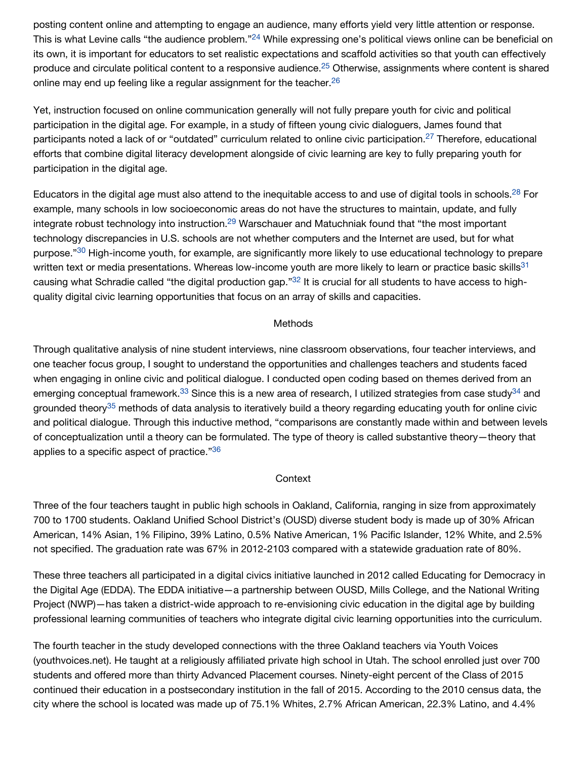posting content online and attempting to engage an audience, many efforts yield very little attention or response. Thisis what Levine calls "the audience problem."<sup>24</sup> While expressing one's political views online can be beneficial on its own, it is important for educators to set realistic expectations and scaffold activities so that youth can effectively produce and circulate political content to a responsive audience[.](http://www.jodml.org/2016/06/27/educating-youth-for-online-civic-and-political-dialogue-a-conceptual-framework-for-the-digital-age/#footnote-25)<sup>25</sup> Otherwise, assignments where content is shared online may end up feeling like a regular assignment for the teacher.<sup>[26](http://www.jodml.org/2016/06/27/educating-youth-for-online-civic-and-political-dialogue-a-conceptual-framework-for-the-digital-age/#footnote-26)</sup>

Yet, instruction focused on online communication generally will not fully prepare youth for civic and political participation in the digital age. For example, in a study of fifteen young civic dialoguers, James found that participants noted a lack of or "outdated" curriculum related to online civic participation[.](http://www.jodml.org/2016/06/27/educating-youth-for-online-civic-and-political-dialogue-a-conceptual-framework-for-the-digital-age/#footnote-27)<sup>27</sup> Therefore, educational efforts that combine digital literacy development alongside of civic learning are key to fully preparing youth for participation in the digital age.

Educators in the digital age must also attend to the inequitable access to and use of digital tools in schools.<sup>28</sup> For example, many schools in low socioeconomic areas do not have the structures to maintain, update, and fully integrate robust technology into instruction.<sup>29</sup> Warschauer and Matuchniak found that "the most important technology discrepancies in U.S. schools are not whether computers and the Internet are used, but for what purpose."<sup>30</sup> High-income youth, for example, are significantly more likely to use educational technology to prepare written text or media presentations. Whereas low-income youth are more likely to learn or practice basic skills<sup>[31](http://www.jodml.org/2016/06/27/educating-youth-for-online-civic-and-political-dialogue-a-conceptual-framework-for-the-digital-age/#footnote-31)</sup> causing what Schradie called "the digital production gap."<sup>32</sup> It is crucial for all students to have access to highquality digital civic learning opportunities that focus on an array of skills and capacities.

#### **Methods**

Through qualitative analysis of nine student interviews, nine classroom observations, four teacher interviews, and one teacher focus group, I sought to understand the opportunities and challenges teachers and students faced when engaging in online civic and political dialogue. I conducted open coding based on themes derived from an emergingconceptual framework.<sup>33</sup> Since this is a new area of research, I utilized strategies from case study<sup>34</sup> and groundedtheory<sup>35</sup> methods of data analysis to iteratively build a theory regarding educating youth for online civic and political dialogue. Through this inductive method, "comparisons are constantly made within and between levels of conceptualization until a theory can be formulated. The type of theory is called substantive theory—theory that applies to a specific aspect of practice."[36](http://www.jodml.org/2016/06/27/educating-youth-for-online-civic-and-political-dialogue-a-conceptual-framework-for-the-digital-age/#footnote-36)

#### **Context**

Three of the four teachers taught in public high schools in Oakland, California, ranging in size from approximately 700 to 1700 students. Oakland Unified School District's (OUSD) diverse student body is made up of 30% African American, 14% Asian, 1% Filipino, 39% Latino, 0.5% Native American, 1% Pacific Islander, 12% White, and 2.5% not specified. The graduation rate was 67% in 2012-2103 compared with a statewide graduation rate of 80%.

These three teachers all participated in a digital civics initiative launched in 2012 called Educating for Democracy in the Digital Age (EDDA). The EDDA initiative—a partnership between OUSD, Mills College, and the National Writing Project (NWP)—has taken a district-wide approach to re-envisioning civic education in the digital age by building professional learning communities of teachers who integrate digital civic learning opportunities into the curriculum.

The fourth teacher in the study developed connections with the three Oakland teachers via Youth Voices (youthvoices.net). He taught at a religiously affiliated private high school in Utah. The school enrolled just over 700 students and offered more than thirty Advanced Placement courses. Ninety-eight percent of the Class of 2015 continued their education in a postsecondary institution in the fall of 2015. According to the 2010 census data, the city where the school is located was made up of 75.1% Whites, 2.7% African American, 22.3% Latino, and 4.4%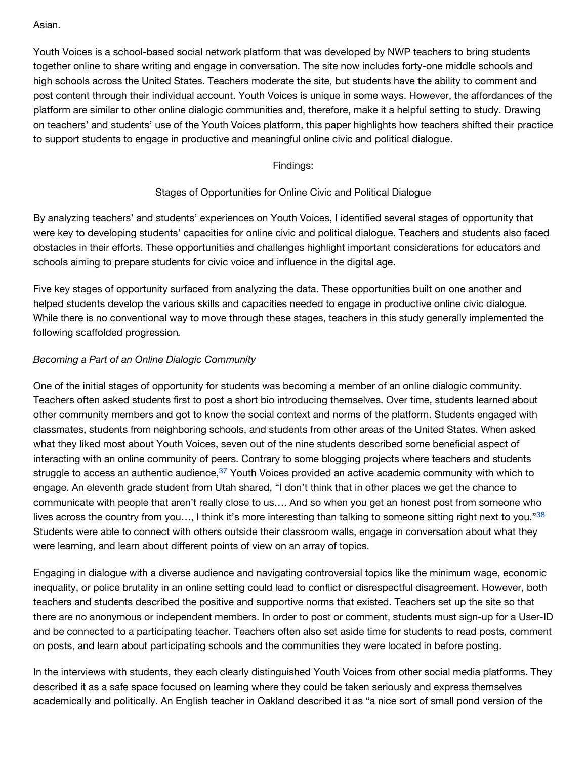#### Asian.

Youth Voices is a school-based social network platform that was developed by NWP teachers to bring students together online to share writing and engage in conversation. The site now includes forty-one middle schools and high schools across the United States. Teachers moderate the site, but students have the ability to comment and post content through their individual account. Youth Voices is unique in some ways. However, the affordances of the platform are similar to other online dialogic communities and, therefore, make it a helpful setting to study. Drawing on teachers' and students' use of the Youth Voices platform, this paper highlights how teachers shifted their practice to support students to engage in productive and meaningful online civic and political dialogue.

## Findings:

## Stages of Opportunities for Online Civic and Political Dialogue

By analyzing teachers' and students' experiences on Youth Voices, I identified several stages of opportunity that were key to developing students' capacities for online civic and political dialogue. Teachers and students also faced obstacles in their efforts. These opportunities and challenges highlight important considerations for educators and schools aiming to prepare students for civic voice and influence in the digital age.

Five key stages of opportunity surfaced from analyzing the data. These opportunities built on one another and helped students develop the various skills and capacities needed to engage in productive online civic dialogue. While there is no conventional way to move through these stages, teachers in this study generally implemented the following scaffolded progression*.*

## *Becoming a Part of an Online Dialogic Community*

One of the initial stages of opportunity for students was becoming a member of an online dialogic community. Teachers often asked students first to post a short bio introducing themselves. Over time, students learned about other community members and got to know the social context and norms of the platform. Students engaged with classmates, students from neighboring schools, and students from other areas of the United States. When asked what they liked most about Youth Voices, seven out of the nine students described some beneficial aspect of interacting with an online community of peers. Contrary to some blogging projects where teachers and students struggle to access an authentic audience,<sup>37</sup> Youth Voices provided an active academic community with which to engage. An eleventh grade student from Utah shared, "I don't think that in other places we get the chance to communicate with people that aren't really close to us…. And so when you get an honest post from someone who lives across the country from you..., I think it's more interesting than talking to someone sitting right next to you."[38](http://www.jodml.org/2016/06/27/educating-youth-for-online-civic-and-political-dialogue-a-conceptual-framework-for-the-digital-age/#footnote-38) Students were able to connect with others outside their classroom walls, engage in conversation about what they were learning, and learn about different points of view on an array of topics.

Engaging in dialogue with a diverse audience and navigating controversial topics like the minimum wage, economic inequality, or police brutality in an online setting could lead to conflict or disrespectful disagreement. However, both teachers and students described the positive and supportive norms that existed. Teachers set up the site so that there are no anonymous or independent members. In order to post or comment, students must sign-up for a User-ID and be connected to a participating teacher. Teachers often also set aside time for students to read posts, comment on posts, and learn about participating schools and the communities they were located in before posting.

In the interviews with students, they each clearly distinguished Youth Voices from other social media platforms. They described it as a safe space focused on learning where they could be taken seriously and express themselves academically and politically. An English teacher in Oakland described it as "a nice sort of small pond version of the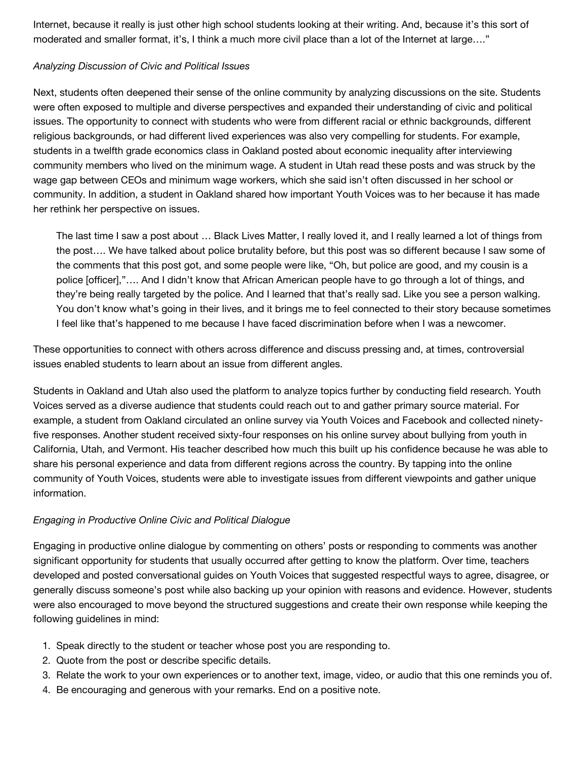Internet, because it really is just other high school students looking at their writing. And, because it's this sort of moderated and smaller format, it's, I think a much more civil place than a lot of the Internet at large…."

#### *Analyzing Discussion of Civic and Political Issues*

Next, students often deepened their sense of the online community by analyzing discussions on the site. Students were often exposed to multiple and diverse perspectives and expanded their understanding of civic and political issues. The opportunity to connect with students who were from different racial or ethnic backgrounds, different religious backgrounds, or had different lived experiences was also very compelling for students. For example, students in a twelfth grade economics class in Oakland posted about economic inequality after interviewing community members who lived on the minimum wage. A student in Utah read these posts and was struck by the wage gap between CEOs and minimum wage workers, which she said isn't often discussed in her school or community. In addition, a student in Oakland shared how important Youth Voices was to her because it has made her rethink her perspective on issues.

The last time I saw a post about … Black Lives Matter, I really loved it, and I really learned a lot of things from the post…. We have talked about police brutality before, but this post was so different because I saw some of the comments that this post got, and some people were like, "Oh, but police are good, and my cousin is a police [officer],"…. And I didn't know that African American people have to go through a lot of things, and they're being really targeted by the police. And I learned that that's really sad. Like you see a person walking. You don't know what's going in their lives, and it brings me to feel connected to their story because sometimes I feel like that's happened to me because I have faced discrimination before when I was a newcomer.

These opportunities to connect with others across difference and discuss pressing and, at times, controversial issues enabled students to learn about an issue from different angles.

Students in Oakland and Utah also used the platform to analyze topics further by conducting field research. Youth Voices served as a diverse audience that students could reach out to and gather primary source material. For example, a student from Oakland circulated an online survey via Youth Voices and Facebook and collected ninetyfive responses. Another student received sixty-four responses on his online survey about bullying from youth in California, Utah, and Vermont. His teacher described how much this built up his confidence because he was able to share his personal experience and data from different regions across the country. By tapping into the online community of Youth Voices, students were able to investigate issues from different viewpoints and gather unique information.

### *Engaging in Productive Online Civic and Political Dialogue*

Engaging in productive online dialogue by commenting on others' posts or responding to comments was another significant opportunity for students that usually occurred after getting to know the platform. Over time, teachers developed and posted conversational guides on Youth Voices that suggested respectful ways to agree, disagree, or generally discuss someone's post while also backing up your opinion with reasons and evidence. However, students were also encouraged to move beyond the structured suggestions and create their own response while keeping the following guidelines in mind:

- 1. Speak directly to the student or teacher whose post you are responding to.
- 2. Quote from the post or describe specific details.
- 3. Relate the work to your own experiences or to another text, image, video, or audio that this one reminds you of.
- 4. Be encouraging and generous with your remarks. End on a positive note.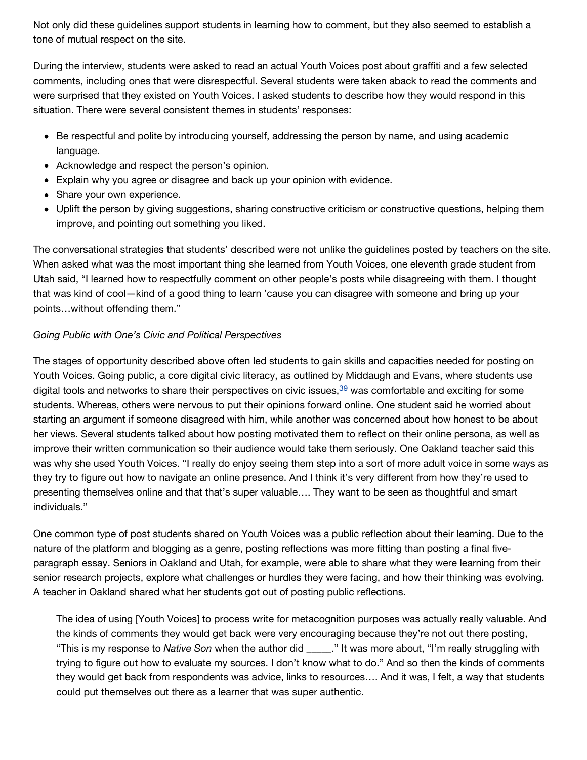Not only did these guidelines support students in learning how to comment, but they also seemed to establish a tone of mutual respect on the site.

During the interview, students were asked to read an actual Youth Voices post about graffiti and a few selected comments, including ones that were disrespectful. Several students were taken aback to read the comments and were surprised that they existed on Youth Voices. I asked students to describe how they would respond in this situation. There were several consistent themes in students' responses:

- Be respectful and polite by introducing yourself, addressing the person by name, and using academic language.
- Acknowledge and respect the person's opinion.
- Explain why you agree or disagree and back up your opinion with evidence.
- Share your own experience.
- Uplift the person by giving suggestions, sharing constructive criticism or constructive questions, helping them improve, and pointing out something you liked.

The conversational strategies that students' described were not unlike the guidelines posted by teachers on the site. When asked what was the most important thing she learned from Youth Voices, one eleventh grade student from Utah said, "I learned how to respectfully comment on other people's posts while disagreeing with them. I thought that was kind of cool—kind of a good thing to learn 'cause you can disagree with someone and bring up your points…without offending them."

## *Going Public with One's Civic and Political Perspectives*

The stages of opportunity described above often led students to gain skills and capacities needed for posting on Youth Voices. Going public, a core digital civic literacy, as outlined by Middaugh and Evans, where students use digital tools and networks to share their perspectives on civic issues,<sup>39</sup> was comfortable and exciting for some students. Whereas, others were nervous to put their opinions forward online. One student said he worried about starting an argument if someone disagreed with him, while another was concerned about how honest to be about her views. Several students talked about how posting motivated them to reflect on their online persona, as well as improve their written communication so their audience would take them seriously. One Oakland teacher said this was why she used Youth Voices. "I really do enjoy seeing them step into a sort of more adult voice in some ways as they try to figure out how to navigate an online presence. And I think it's very different from how they're used to presenting themselves online and that that's super valuable…. They want to be seen as thoughtful and smart individuals."

One common type of post students shared on Youth Voices was a public reflection about their learning. Due to the nature of the platform and blogging as a genre, posting reflections was more fitting than posting a final fiveparagraph essay. Seniors in Oakland and Utah, for example, were able to share what they were learning from their senior research projects, explore what challenges or hurdles they were facing, and how their thinking was evolving. A teacher in Oakland shared what her students got out of posting public reflections.

The idea of using [Youth Voices] to process write for metacognition purposes was actually really valuable. And the kinds of comments they would get back were very encouraging because they're not out there posting, "This is my response to *Native Son* when the author did \_\_\_\_\_." It was more about, "I'm really struggling with trying to figure out how to evaluate my sources. I don't know what to do." And so then the kinds of comments they would get back from respondents was advice, links to resources…. And it was, I felt, a way that students could put themselves out there as a learner that was super authentic.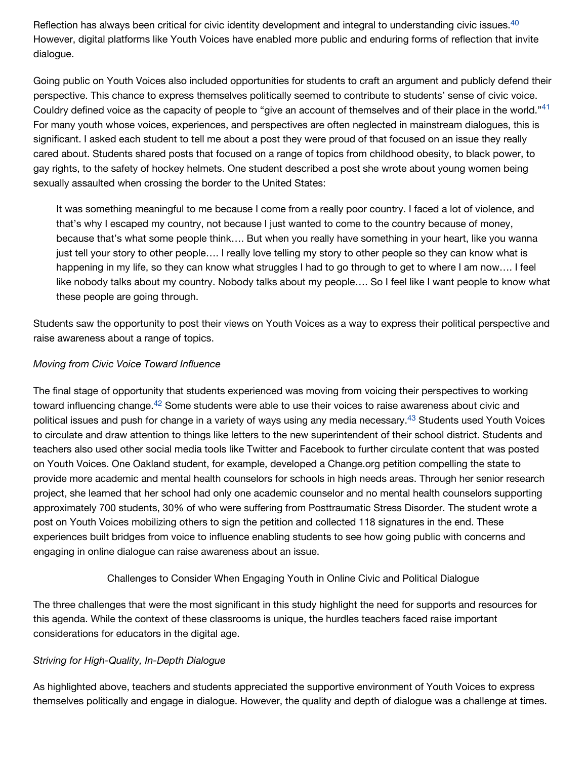Reflection has always been critical for civic identity development and integral to understanding civic issues.<sup>[40](http://www.jodml.org/2016/06/27/educating-youth-for-online-civic-and-political-dialogue-a-conceptual-framework-for-the-digital-age/#footnote-40)</sup> However, digital platforms like Youth Voices have enabled more public and enduring forms of reflection that invite dialogue.

Going public on Youth Voices also included opportunities for students to craft an argument and publicly defend their perspective. This chance to express themselves politically seemed to contribute to students' sense of civic voice. Couldry defined voice as the capacity of people to "give an account of themselves and of their place in the world."<sup>[41](http://www.jodml.org/2016/06/27/educating-youth-for-online-civic-and-political-dialogue-a-conceptual-framework-for-the-digital-age/#footnote-41)</sup> For many youth whose voices, experiences, and perspectives are often neglected in mainstream dialogues, this is significant. I asked each student to tell me about a post they were proud of that focused on an issue they really cared about. Students shared posts that focused on a range of topics from childhood obesity, to black power, to gay rights, to the safety of hockey helmets. One student described a post she wrote about young women being sexually assaulted when crossing the border to the United States:

It was something meaningful to me because I come from a really poor country. I faced a lot of violence, and that's why I escaped my country, not because I just wanted to come to the country because of money, because that's what some people think…. But when you really have something in your heart, like you wanna just tell your story to other people.... I really love telling my story to other people so they can know what is happening in my life, so they can know what struggles I had to go through to get to where I am now…. I feel like nobody talks about my country. Nobody talks about my people…. So I feel like I want people to know what these people are going through.

Students saw the opportunity to post their views on Youth Voices as a way to express their political perspective and raise awareness about a range of topics.

### *Moving from Civic Voice Toward Influence*

The final stage of opportunity that students experienced was moving from voicing their perspectives to working toward influencing change.<sup>42</sup> Some students were able to use their voices to raise awareness about civic and political issues and push for change in a variety of ways using any media necessary.<sup>43</sup> Students used Youth Voices to circulate and draw attention to things like letters to the new superintendent of their school district. Students and teachers also used other social media tools like Twitter and Facebook to further circulate content that was posted on Youth Voices. One Oakland student, for example, developed a Change.org petition compelling the state to provide more academic and mental health counselors for schools in high needs areas. Through her senior research project, she learned that her school had only one academic counselor and no mental health counselors supporting approximately 700 students, 30% of who were suffering from Posttraumatic Stress Disorder. The student wrote a post on Youth Voices mobilizing others to sign the petition and collected 118 signatures in the end. These experiences built bridges from voice to influence enabling students to see how going public with concerns and engaging in online dialogue can raise awareness about an issue.

### Challenges to Consider When Engaging Youth in Online Civic and Political Dialogue

The three challenges that were the most significant in this study highlight the need for supports and resources for this agenda. While the context of these classrooms is unique, the hurdles teachers faced raise important considerations for educators in the digital age.

### *Striving for High-Quality, In-Depth Dialogue*

As highlighted above, teachers and students appreciated the supportive environment of Youth Voices to express themselves politically and engage in dialogue. However, the quality and depth of dialogue was a challenge at times.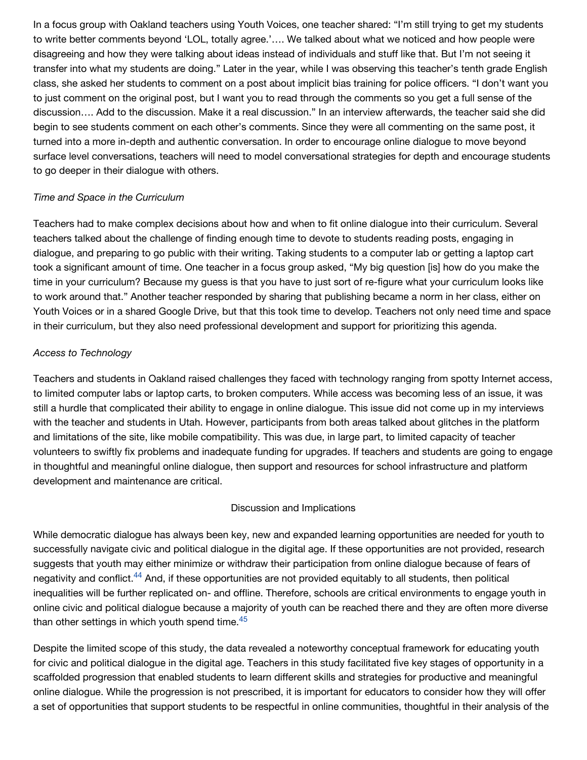In a focus group with Oakland teachers using Youth Voices, one teacher shared: "I'm still trying to get my students to write better comments beyond 'LOL, totally agree.'…. We talked about what we noticed and how people were disagreeing and how they were talking about ideas instead of individuals and stuff like that. But I'm not seeing it transfer into what my students are doing." Later in the year, while I was observing this teacher's tenth grade English class, she asked her students to comment on a post about implicit bias training for police officers. "I don't want you to just comment on the original post, but I want you to read through the comments so you get a full sense of the discussion…. Add to the discussion. Make it a real discussion." In an interview afterwards, the teacher said she did begin to see students comment on each other's comments. Since they were all commenting on the same post, it turned into a more in-depth and authentic conversation. In order to encourage online dialogue to move beyond surface level conversations, teachers will need to model conversational strategies for depth and encourage students to go deeper in their dialogue with others.

#### *Time and Space in the Curriculum*

Teachers had to make complex decisions about how and when to fit online dialogue into their curriculum. Several teachers talked about the challenge of finding enough time to devote to students reading posts, engaging in dialogue, and preparing to go public with their writing. Taking students to a computer lab or getting a laptop cart took a significant amount of time. One teacher in a focus group asked, "My big question [is] how do you make the time in your curriculum? Because my guess is that you have to just sort of re-figure what your curriculum looks like to work around that." Another teacher responded by sharing that publishing became a norm in her class, either on Youth Voices or in a shared Google Drive, but that this took time to develop. Teachers not only need time and space in their curriculum, but they also need professional development and support for prioritizing this agenda.

#### *Access to Technology*

Teachers and students in Oakland raised challenges they faced with technology ranging from spotty Internet access, to limited computer labs or laptop carts, to broken computers. While access was becoming less of an issue, it was still a hurdle that complicated their ability to engage in online dialogue. This issue did not come up in my interviews with the teacher and students in Utah. However, participants from both areas talked about glitches in the platform and limitations of the site, like mobile compatibility. This was due, in large part, to limited capacity of teacher volunteers to swiftly fix problems and inadequate funding for upgrades. If teachers and students are going to engage in thoughtful and meaningful online dialogue, then support and resources for school infrastructure and platform development and maintenance are critical.

#### Discussion and Implications

While democratic dialogue has always been key, new and expanded learning opportunities are needed for youth to successfully navigate civic and political dialogue in the digital age. If these opportunities are not provided, research suggests that youth may either minimize or withdraw their participation from online dialogue because of fears of negativity and conflict[.](http://www.jodml.org/2016/06/27/educating-youth-for-online-civic-and-political-dialogue-a-conceptual-framework-for-the-digital-age/#footnote-44)<sup>44</sup> And, if these opportunities are not provided equitably to all students, then political inequalities will be further replicated on- and offline. Therefore, schools are critical environments to engage youth in online civic and political dialogue because a majority of youth can be reached there and they are often more diverse than other settings in which youth spend time.<sup>[45](http://www.jodml.org/2016/06/27/educating-youth-for-online-civic-and-political-dialogue-a-conceptual-framework-for-the-digital-age/#footnote-45)</sup>

Despite the limited scope of this study, the data revealed a noteworthy conceptual framework for educating youth for civic and political dialogue in the digital age. Teachers in this study facilitated five key stages of opportunity in a scaffolded progression that enabled students to learn different skills and strategies for productive and meaningful online dialogue. While the progression is not prescribed, it is important for educators to consider how they will offer a set of opportunities that support students to be respectful in online communities, thoughtful in their analysis of the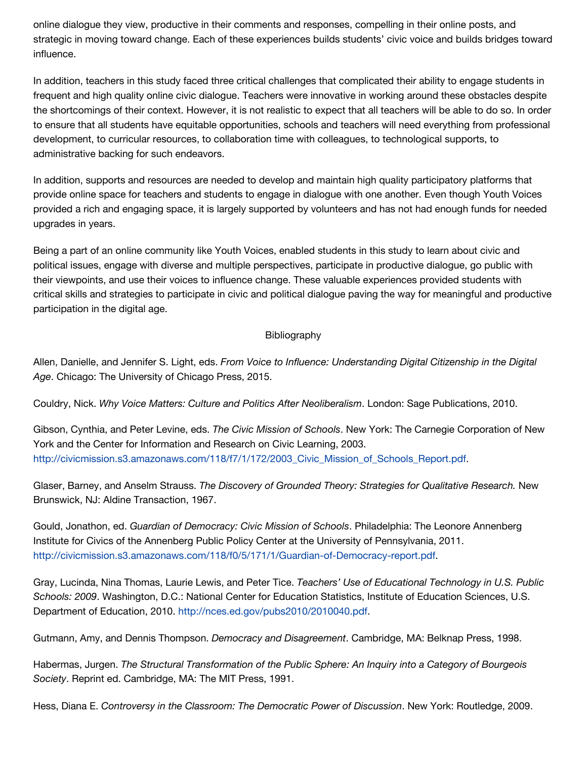online dialogue they view, productive in their comments and responses, compelling in their online posts, and strategic in moving toward change. Each of these experiences builds students' civic voice and builds bridges toward influence.

In addition, teachers in this study faced three critical challenges that complicated their ability to engage students in frequent and high quality online civic dialogue. Teachers were innovative in working around these obstacles despite the shortcomings of their context. However, it is not realistic to expect that all teachers will be able to do so. In order to ensure that all students have equitable opportunities, schools and teachers will need everything from professional development, to curricular resources, to collaboration time with colleagues, to technological supports, to administrative backing for such endeavors.

In addition, supports and resources are needed to develop and maintain high quality participatory platforms that provide online space for teachers and students to engage in dialogue with one another. Even though Youth Voices provided a rich and engaging space, it is largely supported by volunteers and has not had enough funds for needed upgrades in years.

Being a part of an online community like Youth Voices, enabled students in this study to learn about civic and political issues, engage with diverse and multiple perspectives, participate in productive dialogue, go public with their viewpoints, and use their voices to influence change. These valuable experiences provided students with critical skills and strategies to participate in civic and political dialogue paving the way for meaningful and productive participation in the digital age.

### **Bibliography**

Allen, Danielle, and Jennifer S. Light, eds. *From Voice to Influence: Understanding Digital Citizenship in the Digital Age*. Chicago: The University of Chicago Press, 2015.

Couldry, Nick. *Why Voice Matters: Culture and Politics After Neoliberalism*. London: Sage Publications, 2010.

Gibson, Cynthia, and Peter Levine, eds. *The Civic Mission of Schools*. New York: The Carnegie Corporation of New York and the Center for Information and Research on Civic Learning, 2003. [http://civicmission.s3.amazonaws.com/118/f7/1/172/2003\\_Civic\\_Mission\\_of\\_Schools\\_Report.pdf.](http://civicmission.s3.amazonaws.com/118/f7/1/172/2003_Civic_Mission_of_Schools_Report.pdf)

Glaser, Barney, and Anselm Strauss. *The Discovery of Grounded Theory: Strategies for Qualitative Research.* New Brunswick, NJ: Aldine Transaction, 1967.

Gould, Jonathon, ed. *Guardian of Democracy: Civic Mission of Schools*. Philadelphia: The Leonore Annenberg Institute for Civics of the Annenberg Public Policy Center at the University of Pennsylvania, 2011. [http://civicmission.s3.amazonaws.com/118/f0/5/171/1/Guardian-of-Democracy-report.pdf.](http://civicmission.s3.amazonaws.com/118/f0/5/171/1/Guardian-of-Democracy-report.pdf)

Gray, Lucinda, Nina Thomas, Laurie Lewis, and Peter Tice. *Teachers' Use of Educational Technology in U.S. Public Schools: 2009*. Washington, D.C.: National Center for Education Statistics, Institute of Education Sciences, U.S. Department of Education, 2010. [http://nces.ed.gov/pubs2010/2010040.pdf.](http://nces.ed.gov/pubs2010/2010040.pdf)

Gutmann, Amy, and Dennis Thompson. *Democracy and Disagreement*. Cambridge, MA: Belknap Press, 1998.

Habermas, Jurgen. *The Structural Transformation of the Public Sphere: An Inquiry into a Category of Bourgeois Society*. Reprint ed. Cambridge, MA: The MIT Press, 1991.

Hess, Diana E. *Controversy in the Classroom: The Democratic Power of Discussion*. New York: Routledge, 2009.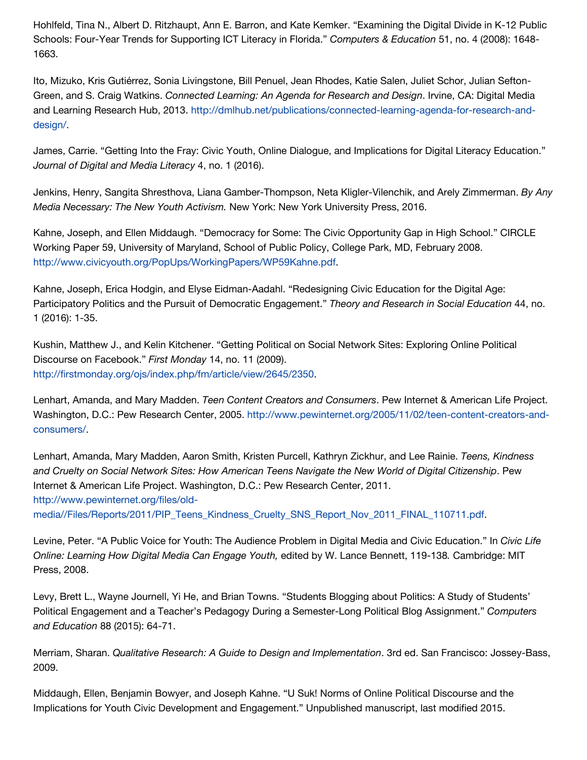Hohlfeld, Tina N., Albert D. Ritzhaupt, Ann E. Barron, and Kate Kemker. "Examining the Digital Divide in K-12 Public Schools: Four-Year Trends for Supporting ICT Literacy in Florida." *Computers & Education* 51, no. 4 (2008): 1648- 1663.

Ito, Mizuko, Kris Gutiérrez, Sonia Livingstone, Bill Penuel, Jean Rhodes, Katie Salen, Juliet Schor, Julian Sefton-Green, and S. Craig Watkins. *Connected Learning: An Agenda for Research and Design*. Irvine, CA: Digital Media [and Learning Research Hub, 2013. http://dmlhub.net/publications/connected-learning-agenda-for-research-and](http://dmlhub.net/publications/connected-learning-agenda-for-research-and-design/)design/.

James, Carrie. "Getting Into the Fray: Civic Youth, Online Dialogue, and Implications for Digital Literacy Education." *Journal of Digital and Media Literacy* 4, no. 1 (2016).

Jenkins, Henry, Sangita Shresthova, Liana Gamber-Thompson, Neta Kligler-Vilenchik, and Arely Zimmerman. *By Any Media Necessary: The New Youth Activism.* New York: New York University Press, 2016.

Kahne, Joseph, and Ellen Middaugh. "Democracy for Some: The Civic Opportunity Gap in High School." CIRCLE Working Paper 59, University of Maryland, School of Public Policy, College Park, MD, February 2008. [http://www.civicyouth.org/PopUps/WorkingPapers/WP59Kahne.pdf.](http://www.civicyouth.org/PopUps/WorkingPapers/WP59Kahne.pdf)

Kahne, Joseph, Erica Hodgin, and Elyse Eidman-Aadahl. "Redesigning Civic Education for the Digital Age: Participatory Politics and the Pursuit of Democratic Engagement." *Theory and Research in Social Education* 44, no. 1 (2016): 1-35.

Kushin, Matthew J., and Kelin Kitchener. "Getting Political on Social Network Sites: Exploring Online Political Discourse on Facebook." *First Monday* 14, no. 11 (2009). [http://firstmonday.org/ojs/index.php/fm/article/view/2645/2350.](http://firstmonday.org/ojs/index.php/fm/article/view/2645/2350)

Lenhart, Amanda, and Mary Madden. *Teen Content Creators and Consumers*. Pew Internet & American Life Project. [Washington, D.C.: Pew Research Center, 2005. http://www.pewinternet.org/2005/11/02/teen-content-creators-and](http://www.pewinternet.org/2005/11/02/teen-content-creators-and-consumers/)consumers/.

Lenhart, Amanda, Mary Madden, Aaron Smith, Kristen Purcell, Kathryn Zickhur, and Lee Rainie. *Teens, Kindness and Cruelty on Social Network Sites: How American Teens Navigate the New World of Digital Citizenship*. Pew Internet & American Life Project. Washington, D.C.: Pew Research Center, 2011. http://www.pewinternet.org/files/old-

[media//Files/Reports/2011/PIP\\_Teens\\_Kindness\\_Cruelty\\_SNS\\_Report\\_Nov\\_2011\\_FINAL\\_110711.pdf](http://www.pewinternet.org/files/old-media//Files/Reports/2011/PIP_Teens_Kindness_Cruelty_SNS_Report_Nov_2011_FINAL_110711.pdf).

Levine, Peter. "A Public Voice for Youth: The Audience Problem in Digital Media and Civic Education." In *Civic Life Online: Learning How Digital Media Can Engage Youth,* edited by W. Lance Bennett, 119-138*.* Cambridge: MIT Press, 2008.

Levy, Brett L., Wayne Journell, Yi He, and Brian Towns. "Students Blogging about Politics: A Study of Students' Political Engagement and a Teacher's Pedagogy During a Semester-Long Political Blog Assignment." *Computers and Education* 88 (2015): 64-71.

Merriam, Sharan. *Qualitative Research: A Guide to Design and Implementation*. 3rd ed. San Francisco: Jossey-Bass, 2009.

Middaugh, Ellen, Benjamin Bowyer, and Joseph Kahne. "U Suk! Norms of Online Political Discourse and the Implications for Youth Civic Development and Engagement." Unpublished manuscript, last modified 2015.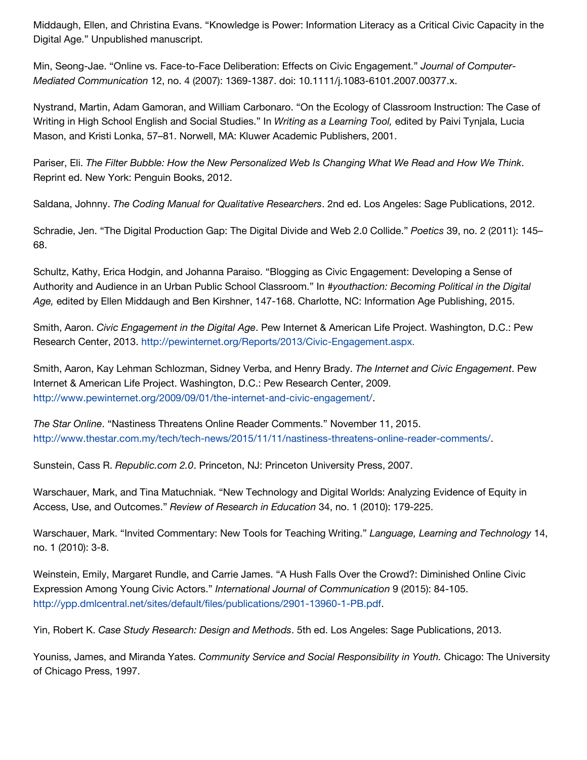Middaugh, Ellen, and Christina Evans. "Knowledge is Power: Information Literacy as a Critical Civic Capacity in the Digital Age." Unpublished manuscript.

Min, Seong-Jae. "Online vs. Face-to-Face Deliberation: Effects on Civic Engagement." *Journal of Computer-Mediated Communication* 12, no. 4 (2007): 1369-1387. doi: 10.1111/j.1083-6101.2007.00377.x.

Nystrand, Martin, Adam Gamoran, and William Carbonaro. "On the Ecology of Classroom Instruction: The Case of Writing in High School English and Social Studies." In *Writing as a Learning Tool,* edited by Paivi Tynjala, Lucia Mason, and Kristi Lonka, 57–81. Norwell, MA: Kluwer Academic Publishers, 2001.

Pariser, Eli. *The Filter Bubble: How the New Personalized Web Is Changing What We Read and How We Think*. Reprint ed. New York: Penguin Books, 2012.

Saldana, Johnny. *The Coding Manual for Qualitative Researchers*. 2nd ed. Los Angeles: Sage Publications, 2012.

Schradie, Jen. "The Digital Production Gap: The Digital Divide and Web 2.0 Collide." *Poetics* 39, no. 2 (2011): 145– 68.

Schultz, Kathy, Erica Hodgin, and Johanna Paraiso. "Blogging as Civic Engagement: Developing a Sense of Authority and Audience in an Urban Public School Classroom." In *#youthaction: Becoming Political in the Digital Age,* edited by Ellen Middaugh and Ben Kirshner, 147-168. Charlotte, NC: Information Age Publishing, 2015.

Smith, Aaron. *Civic Engagement in the Digital Age*. Pew Internet & American Life Project. Washington, D.C.: Pew Research Center, 2013. [http://pewinternet.org/Reports/2013/Civic-Engagement.aspx.](http://pewinternet.org/Reports/2013/Civic-Engagement.aspx)

Smith, Aaron, Kay Lehman Schlozman, Sidney Verba, and Henry Brady. *The Internet and Civic Engagement*. Pew Internet & American Life Project. Washington, D.C.: Pew Research Center, 2009. [http://www.pewinternet.org/2009/09/01/the-internet-and-civic-engagement/.](http://www.pewinternet.org/2009/09/01/the-internet-and-civic-engagement/)

*The Star Online*. "Nastiness Threatens Online Reader Comments." November 11, 2015. [http://www.thestar.com.my/tech/tech-news/2015/11/11/nastiness-threatens-online-reader-comments/.](http://www.thestar.com.my/tech/tech-news/2015/11/11/nastiness-threatens-online-reader-comments/)

Sunstein, Cass R. *Republic.com 2.0*. Princeton, NJ: Princeton University Press, 2007.

Warschauer, Mark, and Tina Matuchniak. "New Technology and Digital Worlds: Analyzing Evidence of Equity in Access, Use, and Outcomes." *Review of Research in Education* 34, no. 1 (2010): 179-225.

Warschauer, Mark. "Invited Commentary: New Tools for Teaching Writing." *Language, Learning and Technology* 14, no. 1 (2010): 3-8.

Weinstein, Emily, Margaret Rundle, and Carrie James. "A Hush Falls Over the Crowd?: Diminished Online Civic Expression Among Young Civic Actors." *International Journal of Communication* 9 (2015): 84-105. [http://ypp.dmlcentral.net/sites/default/files/publications/2901-13960-1-PB.pdf.](http://ypp.dmlcentral.net/sites/default/files/publications/2901-13960-1-PB.pdf)

Yin, Robert K. *Case Study Research: Design and Methods*. 5th ed. Los Angeles: Sage Publications, 2013.

Youniss, James, and Miranda Yates. *Community Service and Social Responsibility in Youth.* Chicago: The University of Chicago Press, 1997.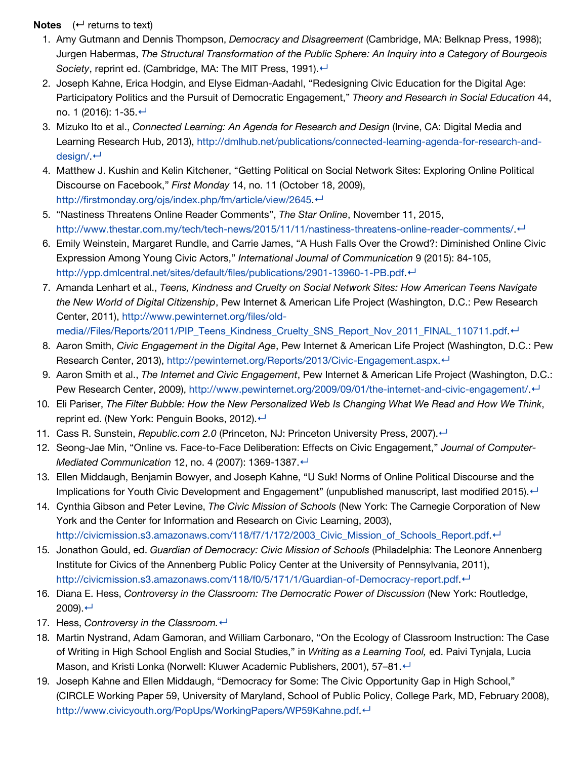#### **Notes**  $($  <math>\leftarrow</math> returns to text)

- 1. Amy Gutmann and Dennis Thompson, *Democracy and Disagreement* (Cambridge, MA: Belknap Press, 1998); Jurgen Habermas, *The Structural Transformation of the Public Sphere: An Inquiry into a Category of Bourgeois Society*, reprint ed. (Cambridge, MA: The MIT Press, 1991). ←
- 2. Joseph Kahne, Erica Hodgin, and Elyse Eidman-Aadahl, "Redesigning Civic Education for the Digital Age: Participatory Politics and the Pursuit of Democratic Engagement," *Theory and Research in Social Education* 44, no. 1 (2016): 1-35.[↵](http://www.jodml.org/2016/06/27/educating-youth-for-online-civic-and-political-dialogue-a-conceptual-framework-for-the-digital-age/#refmark-2)
- 3. Mizuko Ito et al., *Connected Learning: An Agenda for Research and Design* (Irvine, CA: Digital Media and [Learning Research Hub, 2013\), http://dmlhub.net/publications/connected-learning-agenda-for-research-and](http://dmlhub.net/publications/connected-learning-agenda-for-research-and-design/)design/ ←
- 4. Matthew J. Kushin and Kelin Kitchener, "Getting Political on Social Network Sites: Exploring Online Political Discourse on Facebook," *First Monday* 14, no. 11 (October 18, 2009), [http://firstmonday.org/ojs/index.php/fm/article/view/2645.](http://firstmonday.org/ojs/index.php/fm/article/view/2645)[↵](http://www.jodml.org/2016/06/27/educating-youth-for-online-civic-and-political-dialogue-a-conceptual-framework-for-the-digital-age/#refmark-4)
- 5. "Nastiness Threatens Online Reader Comments", *The Star Online*, November 11, 2015, [http://www.thestar.com.my/tech/tech-news/2015/11/11/nastiness-threatens-online-reader-comments/.](http://www.thestar.com.my/tech/tech-news/2015/11/11/nastiness-threatens-online-reader-comments/)[↵](http://www.jodml.org/2016/06/27/educating-youth-for-online-civic-and-political-dialogue-a-conceptual-framework-for-the-digital-age/#refmark-5)
- 6. Emily Weinstein, Margaret Rundle, and Carrie James, "A Hush Falls Over the Crowd?: Diminished Online Civic Expression Among Young Civic Actors," *International Journal of Communication* 9 (2015): 84-105, [http://ypp.dmlcentral.net/sites/default/files/publications/2901-13960-1-PB.pdf.](http://ypp.dmlcentral.net/sites/default/files/publications/2901-13960-1-PB.pdf)[↵](http://www.jodml.org/2016/06/27/educating-youth-for-online-civic-and-political-dialogue-a-conceptual-framework-for-the-digital-age/#refmark-6)
- 7. Amanda Lenhart et al., *Teens, Kindness and Cruelty on Social Network Sites: How American Teens Navigate the New World of Digital Citizenship*, Pew Internet & American Life Project (Washington, D.C.: Pew Research Center, 2011), http://www.pewinternet.org/files/old-
- [media//Files/Reports/2011/PIP\\_Teens\\_Kindness\\_Cruelty\\_SNS\\_Report\\_Nov\\_2011\\_FINAL\\_110711.pdf](http://www.pewinternet.org/files/old-media//Files/Reports/2011/PIP_Teens_Kindness_Cruelty_SNS_Report_Nov_2011_FINAL_110711.pdf).←
- 8. Aaron Smith, *Civic Engagement in the Digital Age*, Pew Internet & American Life Project (Washington, D.C.: Pew Research Center, 2013), [http://pewinternet.org/Reports/2013/Civic-Engagement.aspx.](http://pewinternet.org/Reports/2013/Civic-Engagement.aspx)←
- 9. Aaron Smith et al., *The Internet and Civic Engagement*, Pew Internet & American Life Project (Washington, D.C.: Pew Research Center, 2009), [http://www.pewinternet.org/2009/09/01/the-internet-and-civic-engagement/.](http://www.pewinternet.org/2009/09/01/the-internet-and-civic-engagement/) ←
- 10. Eli Pariser, *The Filter Bubble: How the New Personalized Web Is Changing What We Read and How We Think*, reprint ed. (New York: Penguin Books, 2012). ←
- 11. Cass R. Sunstein, *Republic.com 2.0* (Princeton, NJ: Princeton University Press, 2007). ←
- 12. Seong-Jae Min, "Online vs. Face-to-Face Deliberation: Effects on Civic Engagement," *Journal of Computer-Mediated Communication* 12, no. 4 (2007): 1369-1387. ←
- 13. Ellen Middaugh, Benjamin Bowyer, and Joseph Kahne, "U Suk! Norms of Online Political Discourse and the Implications for Youth Civic Development and Engagement" (unpublished manuscript, last modified 2015). ←
- 14. Cynthia Gibson and Peter Levine, *The Civic Mission of Schools* (New York: The Carnegie Corporation of New York and the Center for Information and Research on Civic Learning, 2003), http://civicmission.s3.amazonaws.com/118/f7/1/172/2003 Civic\_Mission\_of\_Schools\_Report.pdf.←
- 15. Jonathon Gould, ed. *Guardian of Democracy: Civic Mission of Schools* (Philadelphia: The Leonore Annenberg Institute for Civics of the Annenberg Public Policy Center at the University of Pennsylvania, 2011), [http://civicmission.s3.amazonaws.com/118/f0/5/171/1/Guardian-of-Democracy-report.pdf.](http://civicmission.s3.amazonaws.com/118/f0/5/171/1/Guardian-of-Democracy-report.pdf) ←
- 16. Diana E. Hess, *Controversy in the Classroom: The Democratic Power of Discussion* (New York: Routledge,  $2009$ ). ←
- 17. Hess, *Controversy in the Classroom.* ←
- 18. Martin Nystrand, Adam Gamoran, and William Carbonaro, "On the Ecology of Classroom Instruction: The Case of Writing in High School English and Social Studies," in *Writing as a Learning Tool,* ed. Paivi Tynjala, Lucia Mason, and Kristi Lonka (Norwell: Kluwer Academic Publishers, 2001), 57–81. ←
- 19. Joseph Kahne and Ellen Middaugh, "Democracy for Some: The Civic Opportunity Gap in High School," (CIRCLE Working Paper 59, University of Maryland, School of Public Policy, College Park, MD, February 2008), http://www.civicyouth.org/PopUps/WorkingPapers/WP59Kahne.pdf<sup>.←</sup>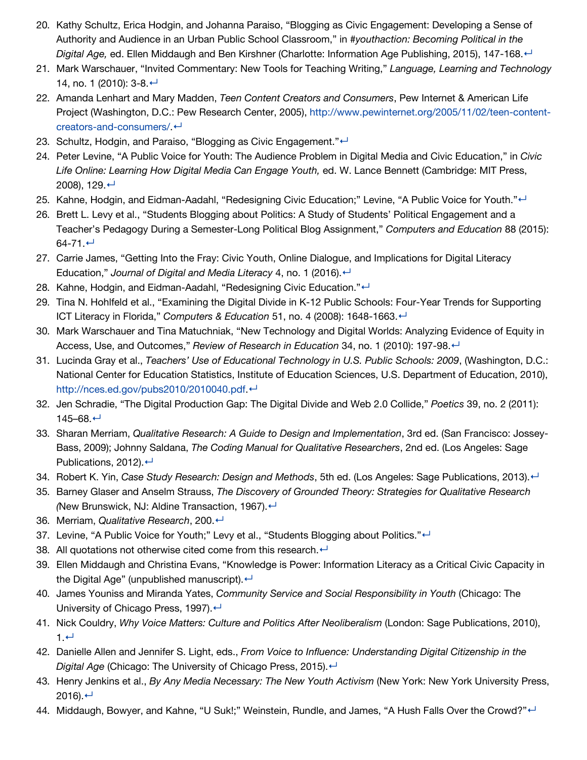- 20. Kathy Schultz, Erica Hodgin, and Johanna Paraiso, "Blogging as Civic Engagement: Developing a Sense of Authority and Audience in an Urban Public School Classroom," in *#youthaction: Becoming Political in the Digital Age,* ed. Ellen Middaugh and Ben Kirshner (Charlotte: Information Age Publishing, 2015), 147-168.[↵](http://www.jodml.org/2016/06/27/educating-youth-for-online-civic-and-political-dialogue-a-conceptual-framework-for-the-digital-age/#refmark-20)
- 21. Mark Warschauer, "Invited Commentary: New Tools for Teaching Writing," *Language, Learning and Technology* 14, no. 1 (2010): 3-8. ←
- 22. Amanda Lenhart and Mary Madden, *Teen Content Creators and Consumers*, Pew Internet & American Life [Project \(Washington, D.C.: Pew Research Center, 2005\), http://www.pewinternet.org/2005/11/02/teen-content](http://www.pewinternet.org/2005/11/02/teen-content-creators-and-consumers/)creators-and-consumers/<sup>↓</sup>
- 23. Schultz, Hodgin, and Paraiso, "Blogging as Civic Engagement."←
- 24. Peter Levine, "A Public Voice for Youth: The Audience Problem in Digital Media and Civic Education," in *Civic Life Online: Learning How Digital Media Can Engage Youth,* ed. W. Lance Bennett (Cambridge: MIT Press, 2008), 129.[↵](http://www.jodml.org/2016/06/27/educating-youth-for-online-civic-and-political-dialogue-a-conceptual-framework-for-the-digital-age/#refmark-24)
- 25. Kahne, Hodgin, and Eidman-Aadahl, "Redesigning Civic Education;" Levine, "A Public Voice for Youth."←
- 26. Brett L. Levy et al., "Students Blogging about Politics: A Study of Students' Political Engagement and a Teacher's Pedagogy During a Semester-Long Political Blog Assignment," *Computers and Education* 88 (2015):  $64 - 71.$  ←
- 27. Carrie James, "Getting Into the Fray: Civic Youth, Online Dialogue, and Implications for Digital Literacy Education," *Journal of Digital and Media Literacy* 4, no. 1 (2016). ←
- 28. Kahne, Hodgin, and Eidman-Aadahl, "Redesigning Civic Education."←
- 29. Tina N. Hohlfeld et al., "Examining the Digital Divide in K-12 Public Schools: Four-Year Trends for Supporting ICT Literacy in Florida," *Computers & Education* 51, no. 4 (2008): 1648-1663.[↵](http://www.jodml.org/2016/06/27/educating-youth-for-online-civic-and-political-dialogue-a-conceptual-framework-for-the-digital-age/#refmark-29)
- 30. Mark Warschauer and Tina Matuchniak, "New Technology and Digital Worlds: Analyzing Evidence of Equity in Access, Use, and Outcomes," *Review of Research in Education* 34, no. 1 (2010): 197-98.[↵](http://www.jodml.org/2016/06/27/educating-youth-for-online-civic-and-political-dialogue-a-conceptual-framework-for-the-digital-age/#refmark-30)
- 31. Lucinda Gray et al., *Teachers' Use of Educational Technology in U.S. Public Schools: 2009*, (Washington, D.C.: National Center for Education Statistics, Institute of Education Sciences, U.S. Department of Education, 2010), <http://nces.ed.gov/pubs2010/2010040.pdf>.[↵](http://www.jodml.org/2016/06/27/educating-youth-for-online-civic-and-political-dialogue-a-conceptual-framework-for-the-digital-age/#refmark-31)
- 32. Jen Schradie, "The Digital Production Gap: The Digital Divide and Web 2.0 Collide," *Poetics* 39, no. 2 (2011): 145–68.[↵](http://www.jodml.org/2016/06/27/educating-youth-for-online-civic-and-political-dialogue-a-conceptual-framework-for-the-digital-age/#refmark-32)
- 33. Sharan Merriam, *Qualitative Research: A Guide to Design and Implementation*, 3rd ed. (San Francisco: Jossey-Bass, 2009); Johnny Saldana, *The Coding Manual for Qualitative Researchers*, 2nd ed. (Los Angeles: Sage Publications, 2012). ←
- 34. Robert K. Yin, *Case Study Research: Design and Methods*, 5th ed. (Los Angeles: Sage Publications, 2013). ←
- 35. Barney Glaser and Anselm Strauss, *The Discovery of Grounded Theory: Strategies for Qualitative Research (New Brunswick, NJ: Aldine Transaction, 1967).* ←
- 36. Merriam, *Qualitative Research*, 200.[↵](http://www.jodml.org/2016/06/27/educating-youth-for-online-civic-and-political-dialogue-a-conceptual-framework-for-the-digital-age/#refmark-36)
- 37. Levine, "A Public Voice for Youth;" Levy et al., "Students Blogging about Politics."←
- 38. All quotations not otherwise cited come from this research. $\leftarrow$
- 39. Ellen Middaugh and Christina Evans, "Knowledge is Power: Information Literacy as a Critical Civic Capacity in the Digital Age" (unpublished manuscript). $\leftarrow$
- 40. James Youniss and Miranda Yates, *Community Service and Social Responsibility in Youth* (Chicago: The University of Chicago Press, 1997). $\leftarrow$
- 41. Nick Couldry, *Why Voice Matters: Culture and Politics After Neoliberalism* (London: Sage Publications, 2010), 1.[↵](http://www.jodml.org/2016/06/27/educating-youth-for-online-civic-and-political-dialogue-a-conceptual-framework-for-the-digital-age/#refmark-41)
- 42. Danielle Allen and Jennifer S. Light, eds., *From Voice to Influence: Understanding Digital Citizenship in the Digital Age* (Chicago: The University of Chicago Press, 2015). ←
- 43. Henry Jenkins et al., *By Any Media Necessary: The New Youth Activism* (New York: New York University Press, 2016). $\leftarrow$
- 44. Middaugh, Bowyer, and Kahne, "U Suk!;" Weinstein, Rundle, and James, "A Hush Falls Over the Crowd?"←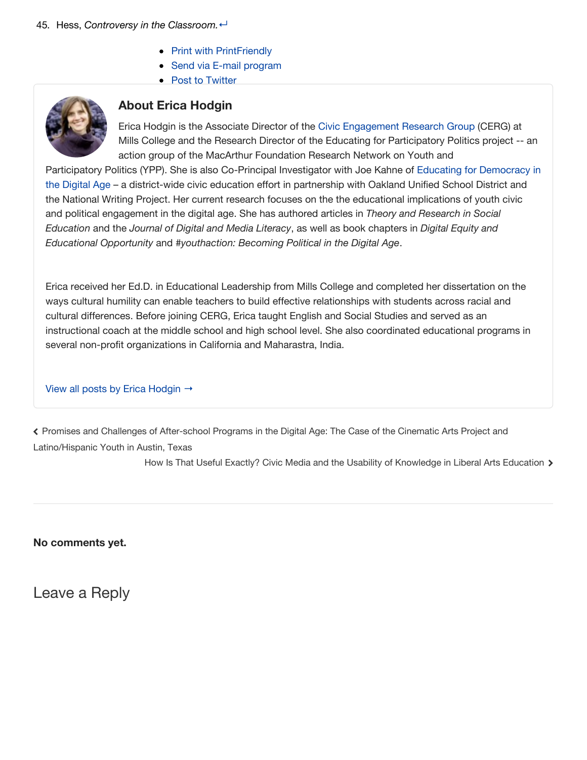- [Print with PrintFriendly](http://www.shareaholic.com/api/share/?title=Educating+Youth+for+Online+Civic+and+Political+Dialogue%3A++A+Conceptual+Framework+for+the+Digital+Age&link=http%3A%2F%2Fwww.jodml.org%2F2016%2F06%2F27%2Feducating-youth-for-online-civic-and-political-dialogue-a-conceptual-framework-for-the-digital-age%2F¬es=&short_link=&shortener=bitly&shortener_key=theknightschool%2525257CR_b9453fe45477867e33803283e9a9afff&v=1&apitype=1&apikey=8afa39428933be41f8afdb8ea21a495c&source=Shareaholic-Publishers&template=&service=236&ctype=)
- [Send via E-mail program](http://www.shareaholic.com/api/share/?title=Educating+Youth+for+Online+Civic+and+Political+Dialogue%3A++A+Conceptual+Framework+for+the+Digital+Age&link=http%3A%2F%2Fwww.jodml.org%2F2016%2F06%2F27%2Feducating-youth-for-online-civic-and-political-dialogue-a-conceptual-framework-for-the-digital-age%2F¬es=&short_link=&shortener=bitly&shortener_key=theknightschool%2525257CR_b9453fe45477867e33803283e9a9afff&v=1&apitype=1&apikey=8afa39428933be41f8afdb8ea21a495c&source=Shareaholic-Publishers&template=&service=201&ctype=)
- [Post to Twitter](http://www.shareaholic.com/api/share/?title=Educating+Youth+for+Online+Civic+and+Political+Dialogue%3A++A+Conceptual+Framework+for+the+Digital+Age&link=http%3A%2F%2Fwww.jodml.org%2F2016%2F06%2F27%2Feducating-youth-for-online-civic-and-political-dialogue-a-conceptual-framework-for-the-digital-age%2F¬es=&short_link=&shortener=bitly&shortener_key=theknightschool%2525257CR_b9453fe45477867e33803283e9a9afff&v=1&apitype=1&apikey=8afa39428933be41f8afdb8ea21a495c&source=Shareaholic-Publishers&template=%2524%257Btitle%257D%2B-%2B%2524%257Bshort_link%257D%2Bvia%2B%2540jodml&service=7&ctype=)



## **About Erica Hodgin**

Erica Hodgin is the Associate Director of the [Civic Engagement Research Group](http://www.civicsurvey.org/) (CERG) at Mills College and the Research Director of the Educating for Participatory Politics project -- an action group of the MacArthur Foundation Research Network on Youth and

[Participatory Politics \(YPP\). She is also Co-Principal Investigator with Joe Kahne of Educating for Democracy in](http://eddaoakland.org/) the Digital Age – a district-wide civic education effort in partnership with Oakland Unified School District and the National Writing Project. Her current research focuses on the the educational implications of youth civic and political engagement in the digital age. She has authored articles in *Theory and Research in Social Education* and the *Journal of Digital and Media Literacy*, as well as book chapters in *Digital Equity and Educational Opportunity* and *#youthaction: Becoming Political in the Digital Age*.

Erica received her Ed.D. in Educational Leadership from Mills College and completed her dissertation on the ways cultural humility can enable teachers to build effective relationships with students across racial and cultural differences. Before joining CERG, Erica taught English and Social Studies and served as an instructional coach at the middle school and high school level. She also coordinated educational programs in several non-profit organizations in California and Maharastra, India.

### [View all posts by Erica Hodgin](http://www.jodml.org/author/ericahodgin/) →

[Promises and Challenges of After-school Programs in the Digital Age: The Case of the Cinematic Arts Project and](http://www.jodml.org/2016/06/27/promises-and-challenges-of-after-school-programs-in-the-digital-age-the-case-of-the-cinematic-arts-project-and-latinohispanic-youth-in-austin-texas/) < Latino/Hispanic Youth in Austin, Texas

[How Is That Useful Exactly? Civic Media and the Usability of Knowledge in Liberal Arts Education](http://www.jodml.org/2016/06/27/how-is-that-useful-exactly-civic-media-and-the-usability-of-knowledge-in-liberal-arts-education/) >

**No comments yet.**

Leave a Reply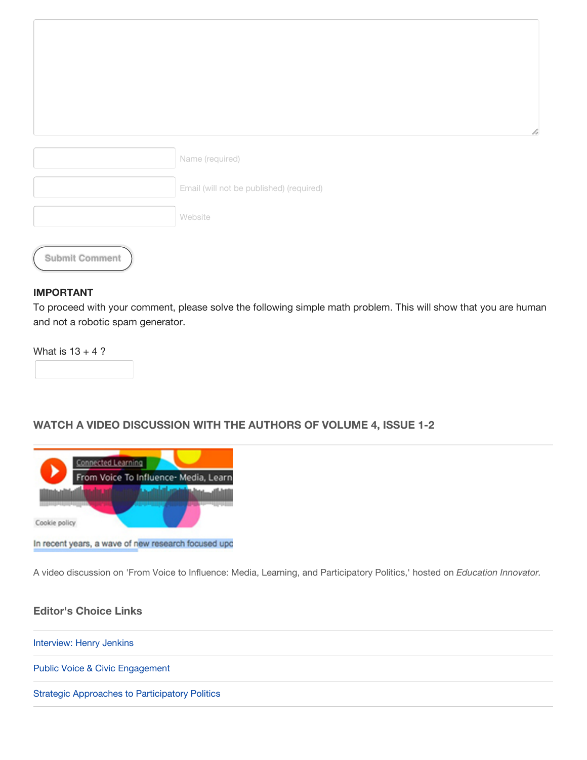|                       | Name (required)                          |  |
|-----------------------|------------------------------------------|--|
|                       | Email (will not be published) (required) |  |
|                       | Website                                  |  |
| <b>Submit Comment</b> |                                          |  |

#### **IMPORTANT**

To proceed with your comment, please solve the following simple math problem. This will show that you are human and not a robotic spam generator.

What is  $13 + 4$ ?

### **WATCH A VIDEO DISCUSSION WITH THE AUTHORS OF VOLUME 4, ISSUE 1-2**



In recent years, a wave of new research focused upo

A video discussion on 'From Voice to Influence: Media, Learning, and Participatory Politics,' hosted on *Education Innovator.*

#### **Editor's Choice Links**

[Interview: Henry Jenkins](http://dmlcentral.net/henry-jenkins-on-participatory-media-in-a-networked-era-part-1/)

[Public Voice & Civic Engagement](http://wiki.dbast.com/images/4/4b/Using_Participatory_Media_and_Public_Voice_to_Encourage.pdf)

[Strategic Approaches to Participatory Politics](http://ypp.dmlcentral.net/sites/default/files/publications/YPP_WorkinPaper_02.pdf)